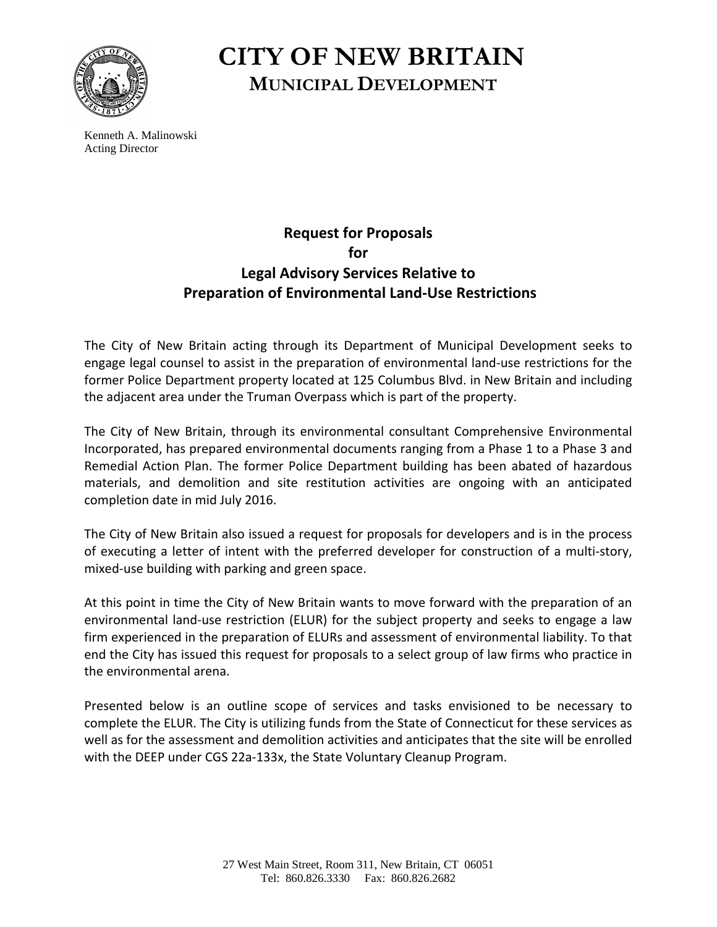

## **CITY OF NEW BRITAIN MUNICIPAL DEVELOPMENT**

Kenneth A. Malinowski Acting Director

## **Request for Proposals for Legal Advisory Services Relative to Preparation of Environmental Land‐Use Restrictions**

The City of New Britain acting through its Department of Municipal Development seeks to engage legal counsel to assist in the preparation of environmental land‐use restrictions for the former Police Department property located at 125 Columbus Blvd. in New Britain and including the adjacent area under the Truman Overpass which is part of the property.

The City of New Britain, through its environmental consultant Comprehensive Environmental Incorporated, has prepared environmental documents ranging from a Phase 1 to a Phase 3 and Remedial Action Plan. The former Police Department building has been abated of hazardous materials, and demolition and site restitution activities are ongoing with an anticipated completion date in mid July 2016.

The City of New Britain also issued a request for proposals for developers and is in the process of executing a letter of intent with the preferred developer for construction of a multi‐story, mixed‐use building with parking and green space.

At this point in time the City of New Britain wants to move forward with the preparation of an environmental land‐use restriction (ELUR) for the subject property and seeks to engage a law firm experienced in the preparation of ELURs and assessment of environmental liability. To that end the City has issued this request for proposals to a select group of law firms who practice in the environmental arena.

Presented below is an outline scope of services and tasks envisioned to be necessary to complete the ELUR. The City is utilizing funds from the State of Connecticut for these services as well as for the assessment and demolition activities and anticipates that the site will be enrolled with the DEEP under CGS 22a‐133x, the State Voluntary Cleanup Program.